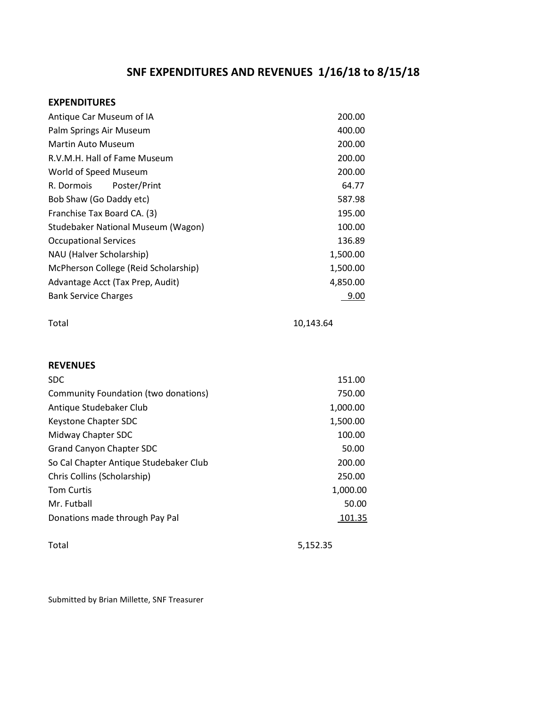## SNF EXPENDITURES AND REVENUES 1/16/18 to 8/15/18

## EXPENDITURES

| Antique Car Museum of IA               | 200.00    |  |
|----------------------------------------|-----------|--|
| Palm Springs Air Museum                | 400.00    |  |
| <b>Martin Auto Museum</b>              | 200.00    |  |
| R.V.M.H. Hall of Fame Museum           | 200.00    |  |
| World of Speed Museum                  | 200.00    |  |
| R. Dormois<br>Poster/Print             | 64.77     |  |
| Bob Shaw (Go Daddy etc)                | 587.98    |  |
| Franchise Tax Board CA. (3)            | 195.00    |  |
| Studebaker National Museum (Wagon)     | 100.00    |  |
| <b>Occupational Services</b>           | 136.89    |  |
| NAU (Halver Scholarship)               | 1,500.00  |  |
| McPherson College (Reid Scholarship)   | 1,500.00  |  |
| Advantage Acct (Tax Prep, Audit)       | 4,850.00  |  |
| <b>Bank Service Charges</b>            | 9.00      |  |
| Total                                  | 10,143.64 |  |
| <b>REVENUES</b>                        |           |  |
| SDC                                    | 151.00    |  |
| Community Foundation (two donations)   | 750.00    |  |
| Antique Studebaker Club                | 1,000.00  |  |
| Keystone Chapter SDC                   | 1,500.00  |  |
| Midway Chapter SDC                     | 100.00    |  |
| <b>Grand Canyon Chapter SDC</b>        | 50.00     |  |
| So Cal Chapter Antique Studebaker Club | 200.00    |  |
| Chris Collins (Scholarship)            | 250.00    |  |
| <b>Tom Curtis</b>                      | 1,000.00  |  |
| Mr. Futball                            | 50.00     |  |
| Donations made through Pay Pal         | 101.35    |  |
|                                        |           |  |

Total 5,152.35

Submitted by Brian Millette, SNF Treasurer